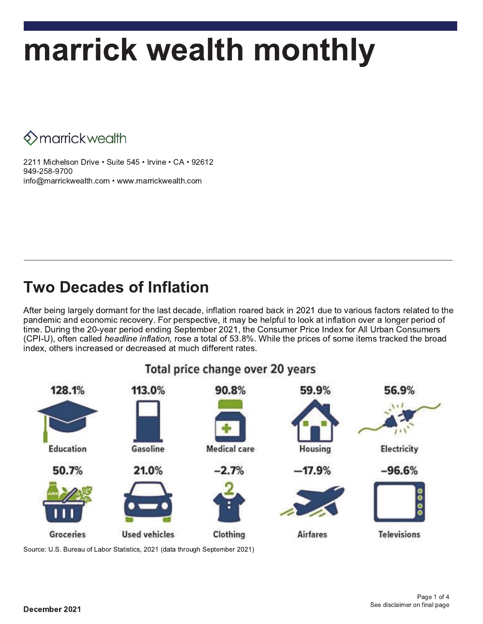# marrick wealth monthly

**♦ > marrick wealth** 

2211 Michelson Drive · Suite 545 · Irvine · CA · 92612 949-258-9700 info@marrickwealth.com • www.marrickwealth.com

### **Two Decades of Inflation**

After being largely dormant for the last decade, inflation roared back in 2021 due to various factors related to the pandemic and economic recovery. For perspective, it may be helpful to look at inflation over a longer period of time. During the 20-year period ending September 2021, the Consumer Price Index for All Urban Consumers (CPI-U), often called *headline inflation*, rose a total of 53.8%. While the prices of some items tracked the broad index, others increased or decreased at much different rates.



Source: U.S. Bureau of Labor Statistics, 2021 (data through September 2021)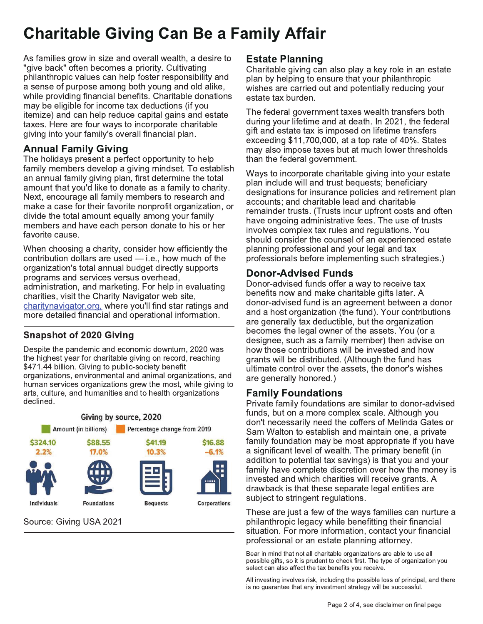## **Charitable Giving Can Be a Family Affair**

As families grow in size and overall wealth, a desire to "give back" often becomes a priority. Cultivating philanthropic values can help foster responsibility and a sense of purpose among both young and old alike, while providing financial benefits. Charitable donations may be eligible for income tax deductions (if you itemize) and can help reduce capital gains and estate taxes. Here are four ways to incorporate charitable giving into your family's overall financial plan.

### **Annual Family Giving**

The holidays present a perfect opportunity to help family members develop a giving mindset. To establish an annual family giving plan, first determine the total amount that you'd like to donate as a family to charity. Next, encourage all family members to research and make a case for their favorite nonprofit organization, or divide the total amount equally among your family members and have each person donate to his or her favorite cause.

When choosing a charity, consider how efficiently the contribution dollars are used  $-$  i.e., how much of the organization's total annual budget directly supports programs and services versus overhead, administration, and marketing. For help in evaluating charities, visit the Charity Navigator web site, charitynavigator.org, where you'll find star ratings and more detailed financial and operational information.

### **Snapshot of 2020 Giving**

Despite the pandemic and economic downturn, 2020 was the highest year for charitable giving on record, reaching \$471.44 billion. Giving to public-society benefit organizations, environmental and animal organizations, and human services organizations grew the most, while giving to arts, culture, and humanities and to health organizations declined.



Source: Giving USA 2021

### **Estate Planning**

Charitable giving can also play a key role in an estate plan by helping to ensure that your philanthropic wishes are carried out and potentially reducing your estate tax burden.

The federal government taxes wealth transfers both during your lifetime and at death. In 2021, the federal gift and estate tax is imposed on lifetime transfers exceeding \$11,700,000, at a top rate of 40%. States may also impose taxes but at much lower thresholds than the federal government.

Ways to incorporate charitable giving into your estate plan include will and trust bequests; beneficiary designations for insurance policies and retirement plan accounts; and charitable lead and charitable remainder trusts. (Trusts incur upfront costs and often have ongoing administrative fees. The use of trusts involves complex tax rules and regulations. You should consider the counsel of an experienced estate planning professional and your legal and tax professionals before implementing such strategies.)

### **Donor-Advised Funds**

Donor-advised funds offer a way to receive tax benefits now and make charitable gifts later. A donor-advised fund is an agreement between a donor and a host organization (the fund). Your contributions are generally tax deductible, but the organization becomes the legal owner of the assets. You (or a designee, such as a family member) then advise on how those contributions will be invested and how grants will be distributed. (Although the fund has ultimate control over the assets, the donor's wishes are generally honored.)

### **Family Foundations**

Private family foundations are similar to donor-advised funds, but on a more complex scale. Although you don't necessarily need the coffers of Melinda Gates or Sam Walton to establish and maintain one, a private family foundation may be most appropriate if you have a significant level of wealth. The primary benefit (in addition to potential tax savings) is that you and your family have complete discretion over how the money is invested and which charities will receive grants. A drawback is that these separate legal entities are subject to stringent regulations.

These are just a few of the ways families can nurture a philanthropic legacy while benefitting their financial situation. For more information, contact your financial professional or an estate planning attorney.

Bear in mind that not all charitable organizations are able to use all possible gifts, so it is prudent to check first. The type of organization you select can also affect the tax benefits you receive.

All investing involves risk, including the possible loss of principal, and there is no guarantee that any investment strategy will be successful.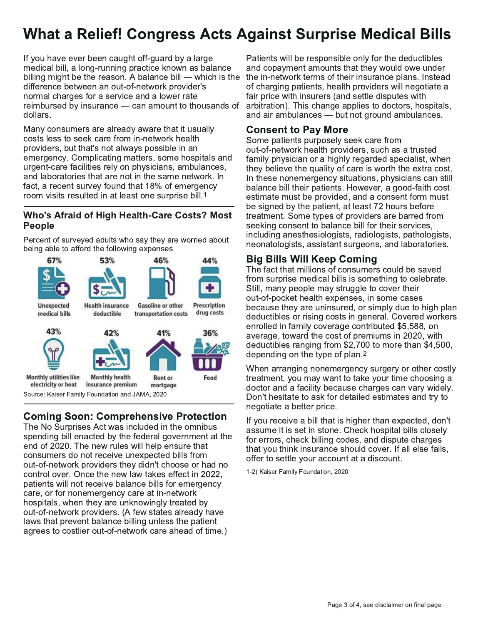### **What a Relief! Congress Acts Against Surprise Medical Bills**

If you have ever been caught off-guard by a large medical bill, a long-running practice known as balance billing might be the reason. A balance bill — which is the difference between an out-of-network provider's normal charges for a service and a lower rate reimbursed by insurance - can amount to thousands of dollars.

Many consumers are already aware that it usually costs less to seek care from in-network health providers, but that's not always possible in an emergency. Complicating matters, some hospitals and urgent-care facilities rely on physicians, ambulances, and laboratories that are not in the same network. In fact, a recent survey found that 18% of emergency room visits resulted in at least one surprise bill.<sup>1</sup>

#### Who's Afraid of High Health-Care Costs? Most **People**

Percent of surveyed adults who say they are worried about being able to afford the following expenses



### **Coming Soon: Comprehensive Protection**

The No Surprises Act was included in the omnibus spending bill enacted by the federal government at the end of 2020. The new rules will help ensure that consumers do not receive unexpected bills from out-of-network providers they didn't choose or had no control over. Once the new law takes effect in 2022, patients will not receive balance bills for emergency care, or for nonemergency care at in-network hospitals, when they are unknowingly treated by out-of-network providers. (A few states already have laws that prevent balance billing unless the patient agrees to costlier out-of-network care ahead of time.)

Patients will be responsible only for the deductibles and copayment amounts that they would owe under the in-network terms of their insurance plans. Instead of charging patients, health providers will negotiate a fair price with insurers (and settle disputes with arbitration). This change applies to doctors, hospitals, and air ambulances - but not ground ambulances.

### **Consent to Pay More**

Some patients purposely seek care from out-of-network health providers, such as a trusted family physician or a highly regarded specialist, when they believe the quality of care is worth the extra cost. In these nonemergency situations, physicians can still balance bill their patients. However, a good-faith cost estimate must be provided, and a consent form must be signed by the patient, at least 72 hours before treatment. Some types of providers are barred from seeking consent to balance bill for their services, including anesthesiologists, radiologists, pathologists, neonatologists, assistant surgeons, and laboratories.

### **Big Bills Will Keep Coming**

The fact that millions of consumers could be saved from surprise medical bills is something to celebrate. Still, many people may struggle to cover their out-of-pocket health expenses, in some cases because they are uninsured, or simply due to high plan deductibles or rising costs in general. Covered workers enrolled in family coverage contributed \$5,588. on average, toward the cost of premiums in 2020, with deductibles ranging from \$2,700 to more than \$4,500, depending on the type of plan.<sup>2</sup>

When arranging nonemergency surgery or other costly treatment, you may want to take your time choosing a doctor and a facility because charges can vary widely. Don't hesitate to ask for detailed estimates and try to negotiate a better price.

If you receive a bill that is higher than expected, don't assume it is set in stone. Check hospital bills closely for errors, check billing codes, and dispute charges that you think insurance should cover. If all else fails, offer to settle your account at a discount.

1-2) Kaiser Family Foundation, 2020